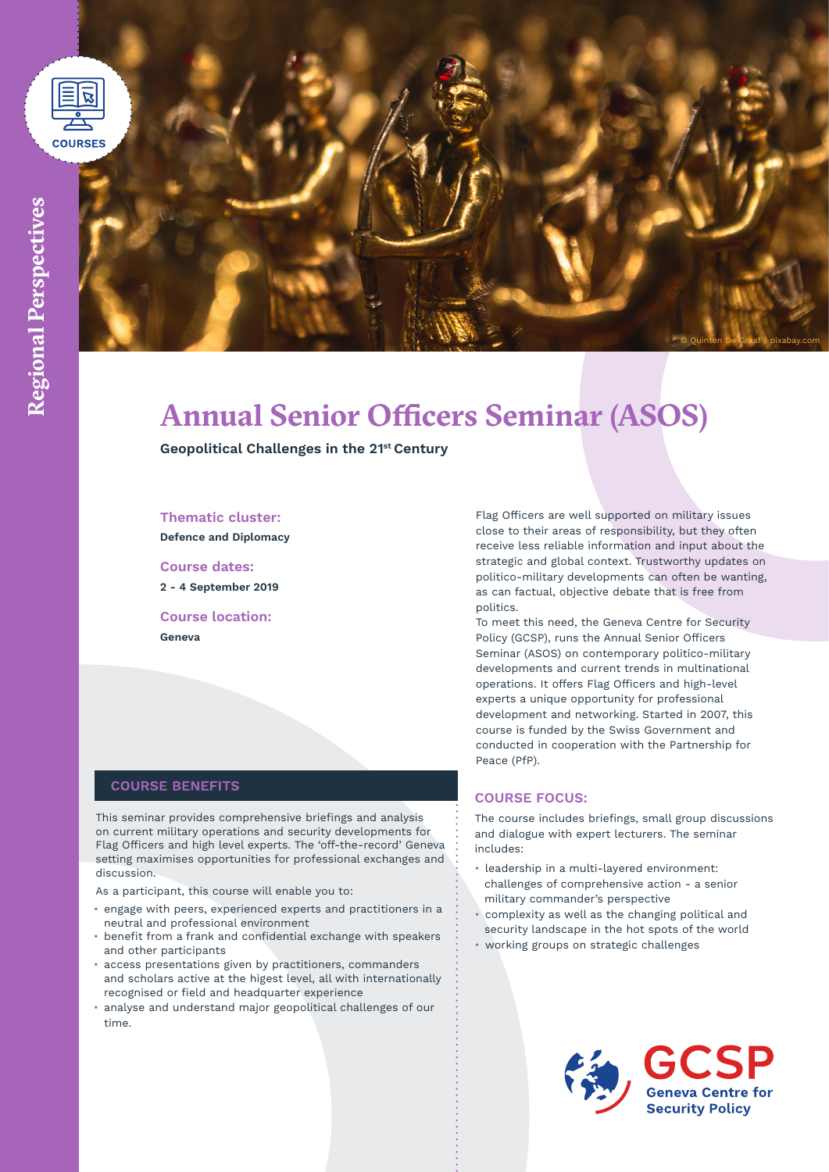

# **Annual Senior Officers Seminar (ASOS)**

**Geopolitical Challenges in the 21st Century**

#### **Thematic cluster:**

**Defence and Diplomacy**

**Course dates: 2 - 4 September 2019**

**Course location: Geneva**

# **COURSE BENEFITS**

This seminar provides comprehensive briefings and analysis on current military operations and security developments for Flag Officers and high level experts. The 'off-the-record' Geneva setting maximises opportunities for professional exchanges and discussion.

As a participant, this course will enable you to:

- engage with peers, experienced experts and practitioners in a neutral and professional environment
- benefit from a frank and confidential exchange with speakers and other participants
- access presentations given by practitioners, commanders and scholars active at the higest level, all with internationally recognised or field and headquarter experience
- analyse and understand major geopolitical challenges of our time.

Flag Officers are well supported on military issues close to their areas of responsibility, but they often receive less reliable information and input about the strategic and global context. Trustworthy updates on politico-military developments can often be wanting, as can factual, objective debate that is free from politics.

© Quinten De Graaf / pixabay.com

To meet this need, the Geneva Centre for Security Policy (GCSP), runs the Annual Senior Officers Seminar (ASOS) on contemporary politico-military developments and current trends in multinational operations. It offers Flag Officers and high-level experts a unique opportunity for professional development and networking. Started in 2007, this course is funded by the Swiss Government and conducted in cooperation with the Partnership for Peace (PfP).

# **COURSE FOCUS:**

The course includes briefings, small group discussions and dialogue with expert lecturers. The seminar includes:

- leadership in a multi-layered environment: challenges of comprehensive action - a senior military commander's perspective
- complexity as well as the changing political and security landscape in the hot spots of the world
- working groups on strategic challenges